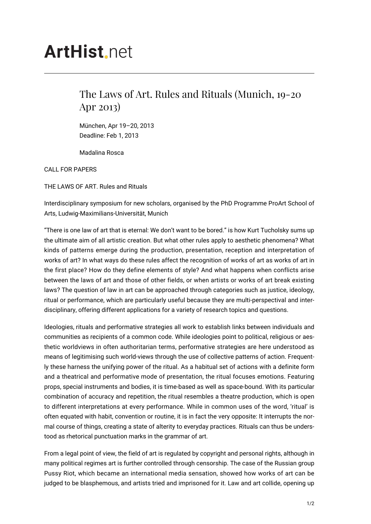## **ArtHist.net**

## The Laws of Art. Rules and Rituals (Munich, 19-20 Apr 2013)

München, Apr 19–20, 2013 Deadline: Feb 1, 2013

Madalina Rosca

CALL FOR PAPERS

THE LAWS OF ART. Rules and Rituals

Interdisciplinary symposium for new scholars, organised by the PhD Programme ProArt School of Arts, Ludwig-Maximilians-Universität, Munich

"There is one law of art that is eternal: We don't want to be bored." is how Kurt Tucholsky sums up the ultimate aim of all artistic creation. But what other rules apply to aesthetic phenomena? What kinds of patterns emerge during the production, presentation, reception and interpretation of works of art? In what ways do these rules affect the recognition of works of art as works of art in the first place? How do they define elements of style? And what happens when conflicts arise between the laws of art and those of other fields, or when artists or works of art break existing laws? The question of law in art can be approached through categories such as justice, ideology, ritual or performance, which are particularly useful because they are multi-perspectival and interdisciplinary, offering different applications for a variety of research topics and questions.

Ideologies, rituals and performative strategies all work to establish links between individuals and communities as recipients of a common code. While ideologies point to political, religious or aesthetic worldviews in often authoritarian terms, performative strategies are here understood as means of legitimising such world-views through the use of collective patterns of action. Frequently these harness the unifying power of the ritual. As a habitual set of actions with a definite form and a theatrical and performative mode of presentation, the ritual focuses emotions. Featuring props, special instruments and bodies, it is time-based as well as space-bound. With its particular combination of accuracy and repetition, the ritual resembles a theatre production, which is open to different interpretations at every performance. While in common uses of the word, 'ritual' is often equated with habit, convention or routine, it is in fact the very opposite: It interrupts the normal course of things, creating a state of alterity to everyday practices. Rituals can thus be understood as rhetorical punctuation marks in the grammar of art.

From a legal point of view, the field of art is regulated by copyright and personal rights, although in many political regimes art is further controlled through censorship. The case of the Russian group Pussy Riot, which became an international media sensation, showed how works of art can be judged to be blasphemous, and artists tried and imprisoned for it. Law and art collide, opening up